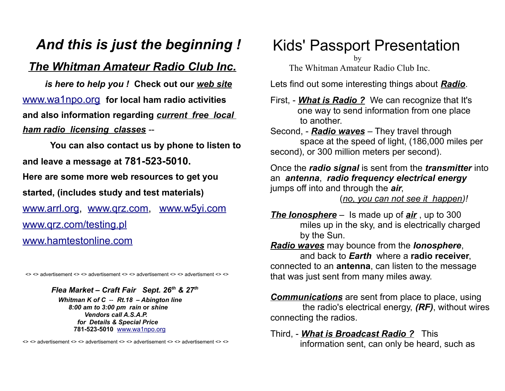## *And this is just the beginning !*

### *The Whitman Amateur Radio Club Inc.*

 *is here to help you !* **Check out our** *web site* [www.wa1npo.org](http://www.wa1npo.org/) **for local ham radio activities and also information regarding** *current free local ham radio licensing classes* --

 **You can also contact us by phone to listen to and leave a message at 781-523-5010. Here are some more web resources to get you started, (includes study and test materials)**  [www.arrl.org,](http://www.arrl.org/) [www.qrz.com,](http://www.qrz.com/) [www.w5yi.com](http://www.wy5i.com/)  [www.qrz.com/testing.pl](http://www.qrz.com/testing.pl) [www.hamtestonline.com](http://www.hamtestonline.com/)

<> <> advertisement <> <> advertisement <> <> advertisement <> <> advertisment <> <>

*Flea Market – Craft Fair Sept. 26th & 27th* 

 *Whitman K of C* -- *Rt.18 – Abington line 8:00 am to 3:00 pm rain* **or** *shine Vendors call A.S.A.P. for Details & Special Price*  **781-523-5010** [www.wa1npo.org](http://www.wa1npo.org/) 

<> <> advertisement <> <> advertisement <> <> advertisement <> <> advertisement <> <>

Kids' Passport Presentation

by

The Whitman Amateur Radio Club Inc.

Lets find out some interesting things about *Radio*.

First, - *What is Radio ?* We can recognize that It's one way to send information from one place to another.

Second, - *Radio waves* – They travel through space at the speed of light, (186,000 miles per second), or 300 million meters per second).

Once the *radio signal* is sent from the *transmitter* into an *antenna*, *radio frequency electrical energy* jumps off into and through the *air*,

(*no, you can not see it happen)!*

*The Ionosphere* – Is made up of *air* , up to 300 miles up in the sky, and is electrically charged by the Sun.

*Radio waves* may bounce from the *Ionosphere*, and back to *Earth* where a **radio receiver**, connected to an **antenna**, can listen to the message that was just sent from many miles away.

*Communications* are sent from place to place, using the radio's electrical energy, *(RF)*, without wires connecting the radios.

Third, - *What is Broadcast Radio ?* This information sent, can only be heard, such as